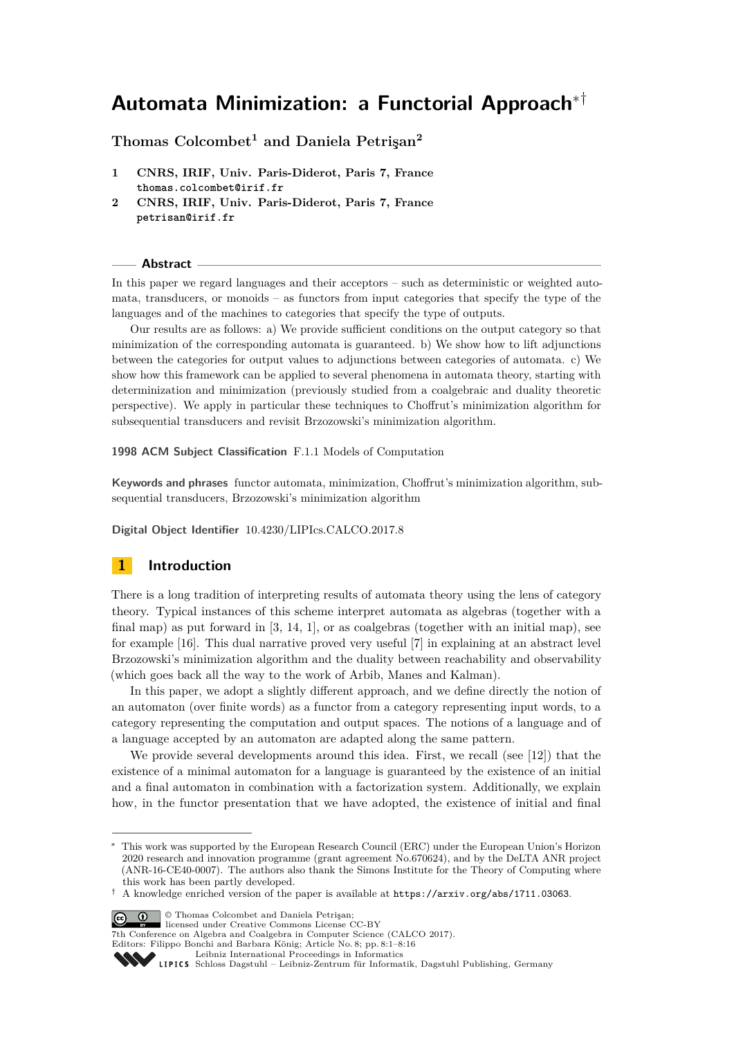# **Automata Minimization: a Functorial Approach**∗†

**Thomas Colcombet<sup>1</sup> and Daniela Petrişan<sup>2</sup>**

- **1 CNRS, IRIF, Univ. Paris-Diderot, Paris 7, France thomas.colcombet@irif.fr**
- **2 CNRS, IRIF, Univ. Paris-Diderot, Paris 7, France petrisan@irif.fr**

### **Abstract**

In this paper we regard languages and their acceptors – such as deterministic or weighted automata, transducers, or monoids – as functors from input categories that specify the type of the languages and of the machines to categories that specify the type of outputs.

Our results are as follows: a) We provide sufficient conditions on the output category so that minimization of the corresponding automata is guaranteed. b) We show how to lift adjunctions between the categories for output values to adjunctions between categories of automata. c) We show how this framework can be applied to several phenomena in automata theory, starting with determinization and minimization (previously studied from a coalgebraic and duality theoretic perspective). We apply in particular these techniques to Choffrut's minimization algorithm for subsequential transducers and revisit Brzozowski's minimization algorithm.

**1998 ACM Subject Classification** F.1.1 Models of Computation

**Keywords and phrases** functor automata, minimization, Choffrut's minimization algorithm, subsequential transducers, Brzozowski's minimization algorithm

**Digital Object Identifier** [10.4230/LIPIcs.CALCO.2017.8](http://dx.doi.org/10.4230/LIPIcs.CALCO.2017.8)

# **1 Introduction**

There is a long tradition of interpreting results of automata theory using the lens of category theory. Typical instances of this scheme interpret automata as algebras (together with a final map) as put forward in  $[3, 14, 1]$  $[3, 14, 1]$  $[3, 14, 1]$  $[3, 14, 1]$  $[3, 14, 1]$ , or as coalgebras (together with an initial map), see for example [\[16\]](#page-15-1). This dual narrative proved very useful [\[7\]](#page-15-2) in explaining at an abstract level Brzozowski's minimization algorithm and the duality between reachability and observability (which goes back all the way to the work of Arbib, Manes and Kalman).

In this paper, we adopt a slightly different approach, and we define directly the notion of an automaton (over finite words) as a functor from a category representing input words, to a category representing the computation and output spaces. The notions of a language and of a language accepted by an automaton are adapted along the same pattern.

We provide several developments around this idea. First, we recall (see [\[12\]](#page-15-3)) that the existence of a minimal automaton for a language is guaranteed by the existence of an initial and a final automaton in combination with a factorization system. Additionally, we explain how, in the functor presentation that we have adopted, the existence of initial and final

 $\boxed{\text{c}}$   $\boxed{\text{ }0\quad}$  Thomas Colcombet and Daniela Petrisan;

licensed under Creative Commons License CC-BY

7th Conference on Algebra and Coalgebra in Computer Science (CALCO 2017).

Editors: Filippo Bonchi and Barbara König; Article No. 8; pp. 8:1–8[:16](#page-15-4) [Leibniz International Proceedings in Informatics](http://www.dagstuhl.de/lipics/)



[Schloss Dagstuhl – Leibniz-Zentrum für Informatik, Dagstuhl Publishing, Germany](http://www.dagstuhl.de)

This work was supported by the European Research Council (ERC) under the European Union's Horizon 2020 research and innovation programme (grant agreement No.670624), and by the DeLTA ANR project (ANR-16-CE40-0007). The authors also thank the Simons Institute for the Theory of Computing where this work has been partly developed.

<sup>†</sup> A knowledge enriched version of the paper is available at <https://arxiv.org/abs/1711.03063>.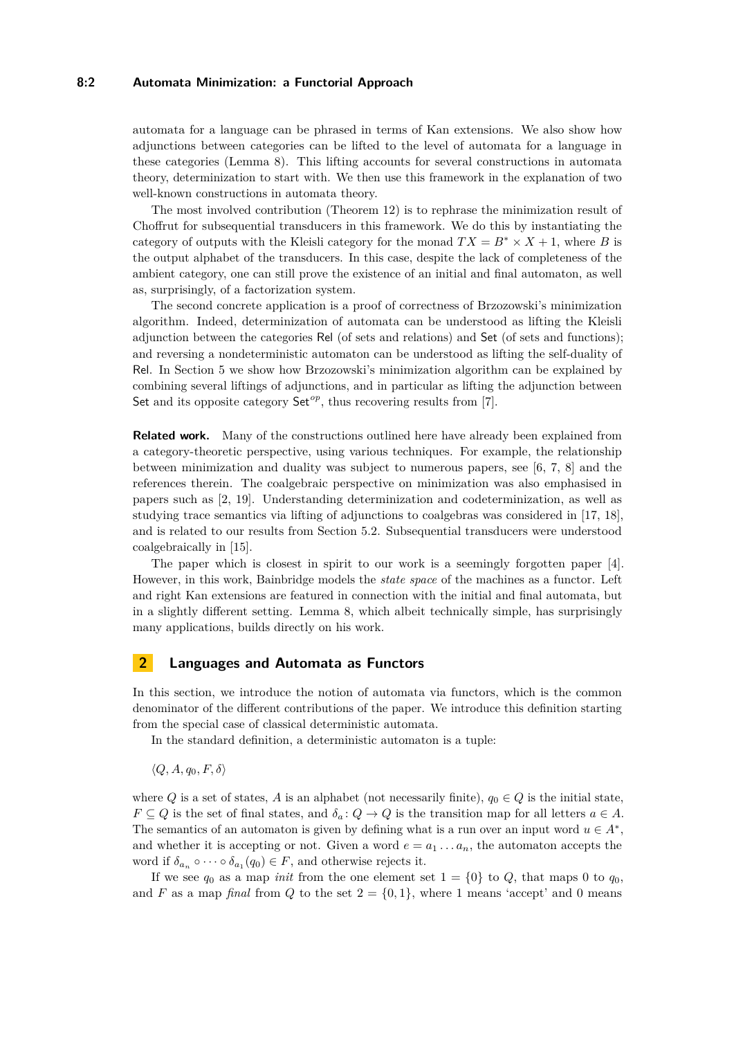### **8:2 Automata Minimization: a Functorial Approach**

automata for a language can be phrased in terms of Kan extensions. We also show how adjunctions between categories can be lifted to the level of automata for a language in these categories (Lemma [8\)](#page-6-0). This lifting accounts for several constructions in automata theory, determinization to start with. We then use this framework in the explanation of two well-known constructions in automata theory.

The most involved contribution (Theorem [12\)](#page-8-0) is to rephrase the minimization result of Choffrut for subsequential transducers in this framework. We do this by instantiating the category of outputs with the Kleisli category for the monad  $TX = B^* \times X + 1$ , where *B* is the output alphabet of the transducers. In this case, despite the lack of completeness of the ambient category, one can still prove the existence of an initial and final automaton, as well as, surprisingly, of a factorization system.

The second concrete application is a proof of correctness of Brzozowski's minimization algorithm. Indeed, determinization of automata can be understood as lifting the Kleisli adjunction between the categories Rel (of sets and relations) and Set (of sets and functions); and reversing a nondeterministic automaton can be understood as lifting the self-duality of Rel. In Section [5](#page-12-0) we show how Brzozowski's minimization algorithm can be explained by combining several liftings of adjunctions, and in particular as lifting the adjunction between Set and its opposite category  $\mathsf{Set}^{op}$ , thus recovering results from [\[7\]](#page-15-2).

**Related work.** Many of the constructions outlined here have already been explained from a category-theoretic perspective, using various techniques. For example, the relationship between minimization and duality was subject to numerous papers, see [\[6,](#page-15-5) [7,](#page-15-2) [8\]](#page-15-6) and the references therein. The coalgebraic perspective on minimization was also emphasised in papers such as [\[2,](#page-14-2) [19\]](#page-15-7). Understanding determinization and codeterminization, as well as studying trace semantics via lifting of adjunctions to coalgebras was considered in [\[17,](#page-15-8) [18\]](#page-15-9), and is related to our results from Section [5.2.](#page-13-0) Subsequential transducers were understood coalgebraically in [\[15\]](#page-15-10).

The paper which is closest in spirit to our work is a seemingly forgotten paper [\[4\]](#page-14-3). However, in this work, Bainbridge models the *state space* of the machines as a functor. Left and right Kan extensions are featured in connection with the initial and final automata, but in a slightly different setting. Lemma [8,](#page-6-0) which albeit technically simple, has surprisingly many applications, builds directly on his work.

### **2 Languages and Automata as Functors**

In this section, we introduce the notion of automata via functors, which is the common denominator of the different contributions of the paper. We introduce this definition starting from the special case of classical deterministic automata.

In the standard definition, a deterministic automaton is a tuple:

 $\langle Q, A, q_0, F, \delta \rangle$ 

where  $Q$  is a set of states,  $A$  is an alphabet (not necessarily finite),  $q_0 \in Q$  is the initial state,  $F \subseteq Q$  is the set of final states, and  $\delta_a: Q \to Q$  is the transition map for all letters  $a \in A$ . The semantics of an automaton is given by defining what is a run over an input word  $u \in A^*$ , and whether it is accepting or not. Given a word  $e = a_1 \ldots a_n$ , the automaton accepts the word if  $\delta_{a_n} \circ \cdots \circ \delta_{a_1}(q_0) \in F$ , and otherwise rejects it.

If we see  $q_0$  as a map *init* from the one element set  $1 = \{0\}$  to  $Q$ , that maps 0 to  $q_0$ , and *F* as a map *final* from *Q* to the set  $2 = \{0, 1\}$ , where 1 means 'accept' and 0 means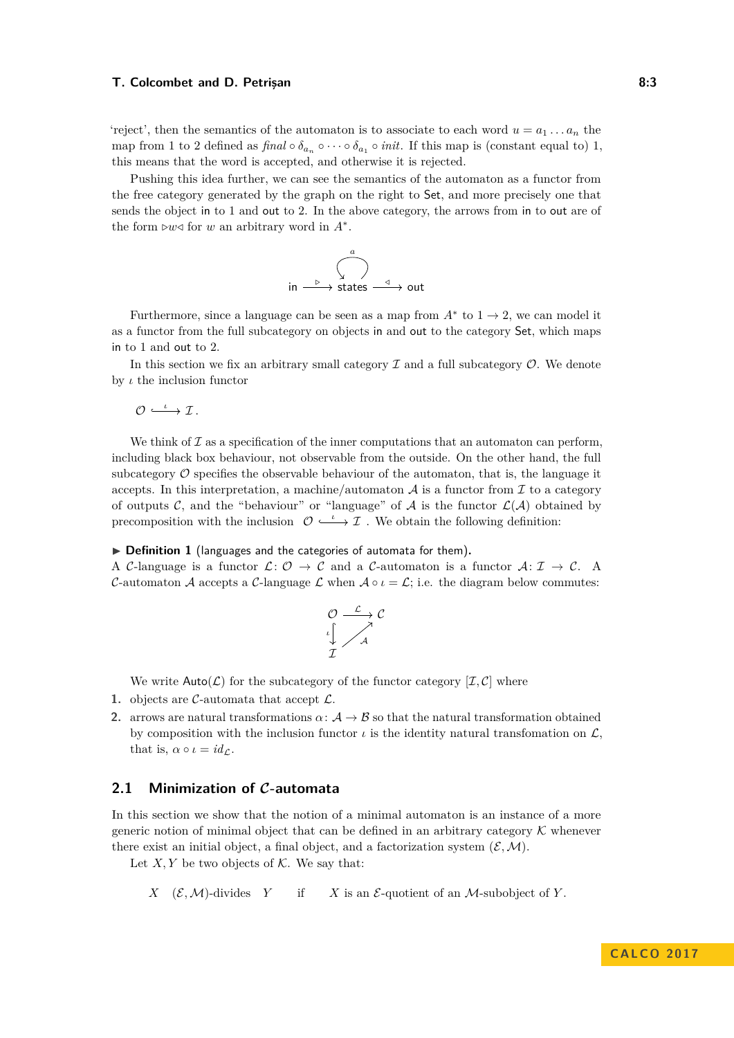#### **T. Colcombet and D. Petrişan 8:3**

'reject', then the semantics of the automaton is to associate to each word  $u = a_1 \dots a_n$  the map from 1 to 2 defined as  $\text{final} \circ \delta_{a_n} \circ \cdots \circ \delta_{a_1} \circ \text{init.}$  If this map is (constant equal to) 1, this means that the word is accepted, and otherwise it is rejected.

Pushing this idea further, we can see the semantics of the automaton as a functor from the free category generated by the graph on the right to Set, and more precisely one that sends the object in to 1 and out to 2. In the above category, the arrows from in to out are of the form  $\triangleright w \triangleleft$  for *w* an arbitrary word in  $A^*$ .

$$
\text{in} \xrightarrow{\begin{array}{c}\text{a} \\ \downarrow \\ \text{states} \xrightarrow{\text{a}} \text{out} \end{array}} \text{out}
$$

Furthermore, since a language can be seen as a map from  $A^*$  to  $1 \to 2$ , we can model it as a functor from the full subcategory on objects in and out to the category Set, which maps in to 1 and out to 2.

In this section we fix an arbitrary small category  $\mathcal I$  and a full subcategory  $\mathcal O$ . We denote by *ι* the inclusion functor

 $\mathcal{O} \stackrel{\iota}{\longrightarrow} \mathcal{I}$ .

We think of  $\mathcal I$  as a specification of the inner computations that an automaton can perform. including black box behaviour, not observable from the outside. On the other hand, the full subcategory  $\mathcal O$  specifies the observable behaviour of the automaton, that is, the language it accepts. In this interpretation, a machine/automaton  $A$  is a functor from  $I$  to a category of outputs C, and the "behaviour" or "language" of A is the functor  $\mathcal{L}(\mathcal{A})$  obtained by precomposition with the inclusion  $\mathcal{O} \longrightarrow \mathcal{I}$ . We obtain the following definition:

### ▶ Definition 1 (languages and the categories of automata for them).

A C-language is a functor  $\mathcal{L}: \mathcal{O} \to \mathcal{C}$  and a C-automaton is a functor  $\mathcal{A}: \mathcal{I} \to \mathcal{C}$ . C-automaton A accepts a C-language L when  $A \circ \iota = \mathcal{L}$ ; i.e. the diagram below commutes:

$$
\begin{array}{ccc}\n\mathcal{O} & \xrightarrow{\mathcal{L}} & \mathcal{C} \\
\downarrow \downarrow & \nearrow & \nearrow \\
\mathcal{I} & & \end{array}
$$

We write  $\text{Auto}(\mathcal{L})$  for the subcategory of the functor category  $[\mathcal{I}, \mathcal{C}]$  where

- **1.** objects are  $\mathcal{C}$ -automata that accept  $\mathcal{L}$ .
- **2.** arrows are natural transformations  $\alpha: \mathcal{A} \to \mathcal{B}$  so that the natural transformation obtained by composition with the inclusion functor  $\iota$  is the identity natural transfomation on  $\mathcal{L}$ , that is,  $\alpha \circ \iota = id_{\mathcal{L}}$ .

# **2.1 Minimization of C-automata**

In this section we show that the notion of a minimal automaton is an instance of a more generic notion of minimal object that can be defined in an arbitrary category  $\mathcal K$  whenever there exist an initial object, a final object, and a factorization system  $(\mathcal{E}, \mathcal{M})$ .

Let  $X, Y$  be two objects of  $K$ . We say that:

*X*  $(\mathcal{E}, \mathcal{M})$ -divides *Y* if *X* is an *E*-quotient of an *M*-subobject of *Y*.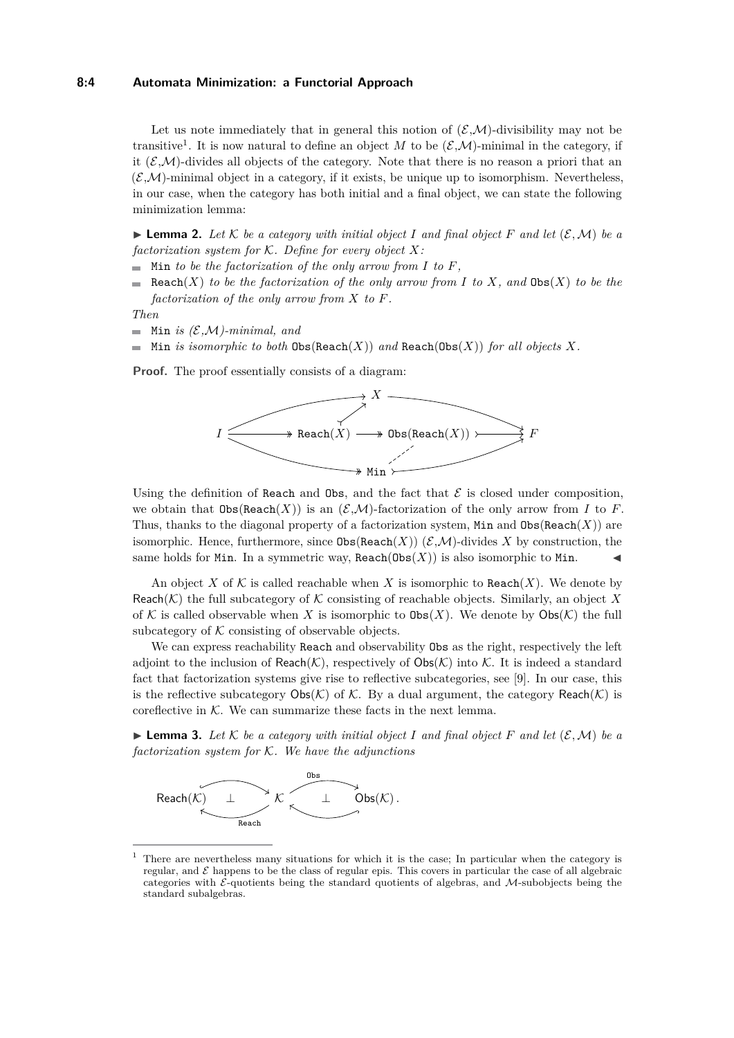### **8:4 Automata Minimization: a Functorial Approach**

Let us note immediately that in general this notion of  $(\mathcal{EM})$ -divisibility may not be transitive<sup>[1](#page-3-0)</sup>. It is now natural to define an object M to be  $(\mathcal{E}, \mathcal{M})$ -minimal in the category, if it  $(\mathcal{E}, \mathcal{M})$ -divides all objects of the category. Note that there is no reason a priori that an  $(\mathcal{E}, \mathcal{M})$ -minimal object in a category, if it exists, be unique up to isomorphism. Nevertheless, in our case, when the category has both initial and a final object, we can state the following minimization lemma:

<span id="page-3-1"></span> $\blacktriangleright$  **Lemma 2.** Let  $K$  be a category with initial object *I* and final object  $F$  and let  $(\mathcal{E}, \mathcal{M})$  be a *factorization system for* K*. Define for every object X:*

- $\blacksquare$  Min *to be the factorization of the only arrow from <i>I* to *F*,
- Reach(*X*) *to be the factorization of the only arrow from I to X, and*  $\text{Obs}(X)$  *to be the factorization of the only arrow from X to F.*

*Then*

- $\blacksquare$  Min *is (E,M*)-minimal, and
- $\blacksquare$  Min *is isomorphic to both*  $\text{Obs}(\text{Reach}(X))$  *and*  $\text{Reach}(\text{Obs}(X))$  *for all objects* X.

**Proof.** The proof essentially consists of a diagram:



Using the definition of Reach and Obs, and the fact that  $\mathcal E$  is closed under composition, we obtain that  $\text{Obs}(\text{Reach}(X))$  is an  $(\mathcal{E},\mathcal{M})$ -factorization of the only arrow from *I* to *F*. Thus, thanks to the diagonal property of a factorization system, Min and  $\text{Obs}(\text{Reach}(X))$  are isomorphic. Hence, furthermore, since  $\text{Obs}(\text{Reach}(X))$  ( $\mathcal{E},\mathcal{M}$ )-divides X by construction, the same holds for Min. In a symmetric way,  $\text{Reach}(\text{Obs}(X))$  is also isomorphic to Min.

An object X of K is called reachable when X is isomorphic to Reach $(X)$ . We denote by Reach( $K$ ) the full subcategory of  $K$  consisting of reachable objects. Similarly, an object X of K is called observable when X is isomorphic to  $\text{Obs}(X)$ . We denote by  $\text{Obs}(K)$  the full subcategory of  $K$  consisting of observable objects.

We can express reachability Reach and observability Obs as the right, respectively the left adjoint to the inclusion of Reach(K), respectively of  $\text{Obs}(K)$  into K. It is indeed a standard fact that factorization systems give rise to reflective subcategories, see [\[9\]](#page-15-11). In our case, this is the reflective subcategory  $\mathsf{Obs}(\mathcal{K})$  of K. By a dual argument, the category Reach(K) is coreflective in  $K$ . We can summarize these facts in the next lemma.

<span id="page-3-2"></span> $\blacktriangleright$  **Lemma 3.** Let K be a category with initial object I and final object F and let  $(\mathcal{E}, \mathcal{M})$  be a *factorization system for* K*. We have the adjunctions*



<span id="page-3-0"></span> $<sup>1</sup>$  There are nevertheless many situations for which it is the case; In particular when the category is</sup> regular, and  $\mathcal E$  happens to be the class of regular epis. This covers in particular the case of all algebraic categories with  $\mathcal{E}$ -quotients being the standard quotients of algebras, and M-subobjects being the standard subalgebras.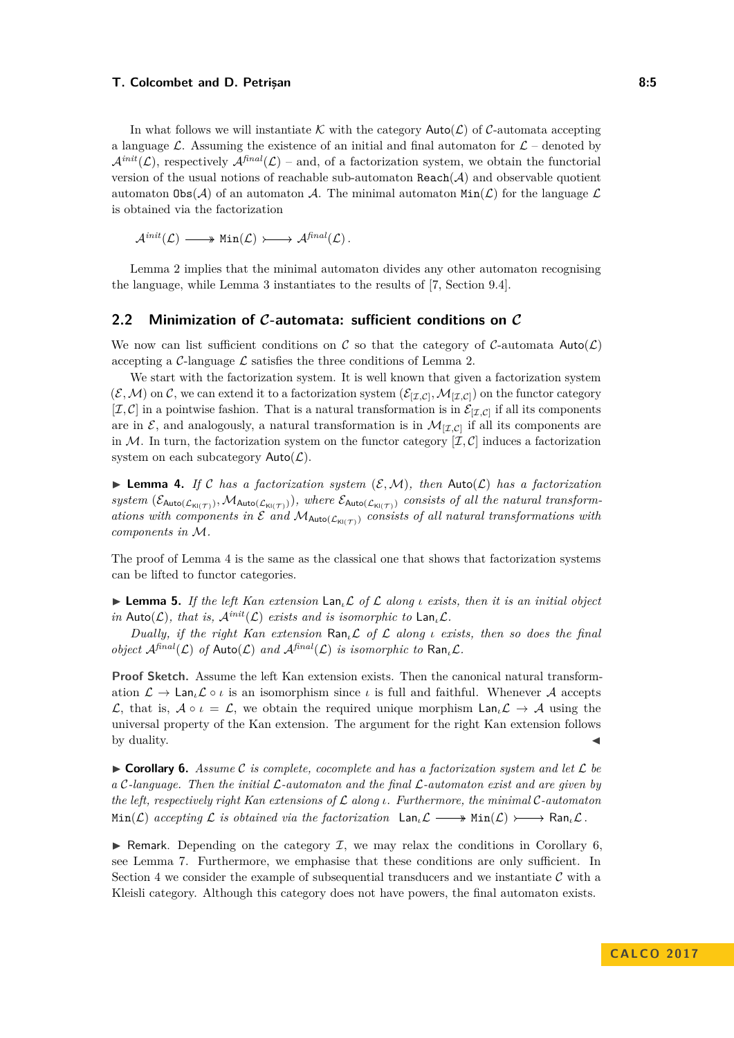#### **T. Colcombet and D. Petrisan 8:5** and 8:5

In what follows we will instantiate K with the category  $\text{Auto}(\mathcal{L})$  of C-automata accepting a language L. Assuming the existence of an initial and final automaton for  $\mathcal{L}$  – denoted by  $\mathcal{A}^{init}(\mathcal{L})$ , respectively  $\mathcal{A}^{final}(\mathcal{L})$  – and, of a factorization system, we obtain the functorial version of the usual notions of reachable sub-automaton  $\text{Reach}(\mathcal{A})$  and observable quotient automaton  $\text{Obs}(\mathcal{A})$  of an automaton  $\mathcal{A}$ . The minimal automaton  $\text{Min}(\mathcal{L})$  for the language  $\mathcal{L}$ is obtained via the factorization

 $\mathcal{A}^{init}(\mathcal{L}) \longrightarrow \text{Min}(\mathcal{L}) \longrightarrow \mathcal{A}^{final}(\mathcal{L})$ .

Lemma [2](#page-3-1) implies that the minimal automaton divides any other automaton recognising the language, while Lemma [3](#page-3-2) instantiates to the results of [\[7,](#page-15-2) Section 9.4].

### **2.2 Minimization of C-automata: sufficient conditions on C**

We now can list sufficient conditions on C so that the category of C-automata Auto( $\mathcal{L}$ ) accepting a  $\mathcal{C}$ -language  $\mathcal{L}$  satisfies the three conditions of Lemma [2.](#page-3-1)

We start with the factorization system. It is well known that given a factorization system  $(\mathcal{E}, \mathcal{M})$  on  $\mathcal{C}$ , we can extend it to a factorization system  $(\mathcal{E}_{[\mathcal{I},\mathcal{C}]},\mathcal{M}_{[\mathcal{I},\mathcal{C}]})$  on the functor category  $[\mathcal{I}, \mathcal{C}]$  in a pointwise fashion. That is a natural transformation is in  $\mathcal{E}_{[\mathcal{I},\mathcal{C}]}$  if all its components are in  $\mathcal{E}$ , and analogously, a natural transformation is in  $\mathcal{M}_{[\mathcal{I},\mathcal{C}]}$  if all its components are in M. In turn, the factorization system on the functor category  $[\mathcal{I}, \mathcal{C}]$  induces a factorization system on each subcategory  $\mathsf{Auto}(\mathcal{L})$ .

<span id="page-4-0"></span>**I Lemma 4.** If C has a factorization system  $(\mathcal{E}, \mathcal{M})$ , then  $\text{Auto}(\mathcal{L})$  has a factorization  $system(\mathcal{E}_{\text{Auto}(\mathcal{L}_{\text{Kl}(\mathcal{T})})},\mathcal{M}_{\text{Auto}(\mathcal{L}_{\text{Kl}(\mathcal{T})})})$ , where  $\mathcal{E}_{\text{Auto}(\mathcal{L}_{\text{Kl}(\mathcal{T})})}$  consists of all the natural transform*ations with components in*  $\mathcal E$  *and*  $\mathcal M_{\text{Auto}(\mathcal L_{\text{Kl(T)}})}$  *consists of all natural transformations with components in* M*.*

The proof of Lemma [4](#page-4-0) is the same as the classical one that shows that factorization systems can be lifted to functor categories.

I **Lemma 5.** *If the left Kan extension* Lan*ι*L *of* L *along ι exists, then it is an initial object in* Auto( $\mathcal{L}$ )*, that is,*  $\mathcal{A}^{init}(\mathcal{L})$  *exists and is isomorphic to*  $\text{Lan}_{\iota}\mathcal{L}$ *.* 

*Dually, if the right Kan extension* Ran*ι*L *of* L *along ι exists, then so does the final object*  $\mathcal{A}^{\text{final}}(\mathcal{L})$  *of*  $\text{Auto}(\mathcal{L})$  *and*  $\mathcal{A}^{\text{final}}(\mathcal{L})$  *is isomorphic to*  $\text{Ran}_{\iota}\mathcal{L}$ *.* 

**Proof Sketch.** Assume the left Kan extension exists. Then the canonical natural transformation  $\mathcal{L} \to \text{Lan}_{\iota} \mathcal{L} \circ \iota$  is an isomorphism since  $\iota$  is full and faithful. Whenever A accepts L, that is,  $A \circ \iota = \mathcal{L}$ , we obtain the required unique morphism  $\textsf{Lan}_{\iota} \mathcal{L} \to A$  using the universal property of the Kan extension. The argument for the right Kan extension follows by duality.  $\blacktriangleleft$ 

<span id="page-4-1"></span> $\triangleright$  **Corollary 6.** Assume C is complete, cocomplete and has a factorization system and let  $\mathcal{L}$  be *a* C*-language. Then the initial* L*-automaton and the final* L*-automaton exist and are given by the left, respectively right Kan extensions of* L *along ι. Furthermore, the minimal* C*-automaton*  $Min(\mathcal{L})$  *accepting*  $\mathcal{L}$  *is obtained via the factorization*  $\text{Lan}\,\mathcal{L} \longrightarrow \text{Min}(\mathcal{L}) \longrightarrow \text{Ran}\,\mathcal{L}$ .

Exercise Remark. Depending on the category  $\mathcal{I}$ , we may relax the conditions in Corollary [6,](#page-4-1) see Lemma [7.](#page-5-0) Furthermore, we emphasise that these conditions are only sufficient. In Section [4](#page-6-1) we consider the example of subsequential transducers and we instantiate  $\mathcal C$  with a Kleisli category. Although this category does not have powers, the final automaton exists.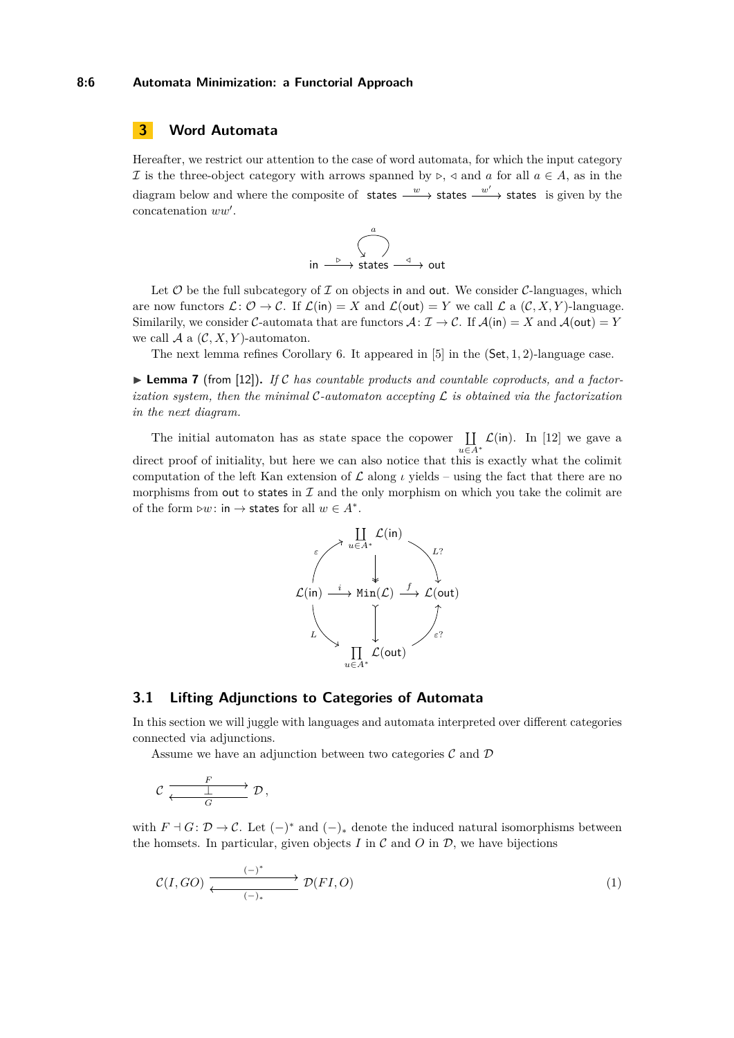# **3 Word Automata**

Hereafter, we restrict our attention to the case of word automata, for which the input category If is the three-object category with arrows spanned by  $\triangleright, \triangleleft$  and a for all  $a \in A$ , as in the diagram below and where the composite of states  $\frac{w}{x}$  states  $\frac{w'}{x}$  states is given by the concatenation  $ww'$ .



Let  $\mathcal O$  be the full subcategory of  $\mathcal I$  on objects in and out. We consider  $\mathcal C$ -languages, which are now functors  $\mathcal{L} \colon \mathcal{O} \to \mathcal{C}$ . If  $\mathcal{L}(\mathsf{in}) = X$  and  $\mathcal{L}(\mathsf{out}) = Y$  we call  $\mathcal{L}$  a  $(\mathcal{C}, X, Y)$ -language. Similarily, we consider C-automata that are functors  $\mathcal{A}: \mathcal{I} \to \mathcal{C}$ . If  $\mathcal{A}(\mathsf{in}) = X$  and  $\mathcal{A}(\mathsf{out}) = Y$ we call  $A$  a  $(C, X, Y)$ -automaton.

The next lemma refines Corollary [6.](#page-4-1) It appeared in [\[5\]](#page-14-4) in the (Set*,* 1*,* 2)-language case.

<span id="page-5-0"></span> $\triangleright$  **Lemma 7** (from [\[12\]](#page-15-3)). If C has countable products and countable coproducts, and a factor*ization system, then the minimal* C*-automaton accepting* L *is obtained via the factorization in the next diagram.*

The initial automaton has as state space the copower  $\prod$ *u*∈*A*<sup>∗</sup>  $\mathcal{L}$ (in). In [\[12\]](#page-15-3) we gave a direct proof of initiality, but here we can also notice that this is exactly what the colimit computation of the left Kan extension of  $\mathcal L$  along *ι* yields – using the fact that there are no morphisms from out to states in  $\mathcal I$  and the only morphism on which you take the colimit are of the form  $\triangleright w$ : in  $\rightarrow$  states for all  $w \in A^*$ .



# <span id="page-5-1"></span>**3.1 Lifting Adjunctions to Categories of Automata**

In this section we will juggle with languages and automata interpreted over different categories connected via adjunctions.

Assume we have an adjunction between two categories  $\mathcal C$  and  $\mathcal D$ 

$$
\mathcal{C} \xrightarrow[\text{G}]{F} \mathcal{D},
$$

with  $F \dashv G: \mathcal{D} \to \mathcal{C}$ . Let  $(-)^*$  and  $(-)_*$  denote the induced natural isomorphisms between the homsets. In particular, given objects  $I$  in  $\mathcal C$  and  $O$  in  $\mathcal D$ , we have bijections

<span id="page-5-2"></span>
$$
\mathcal{C}(I, GO) \xrightarrow{\text{(--)}} \mathcal{D}(FI, O) \tag{1}
$$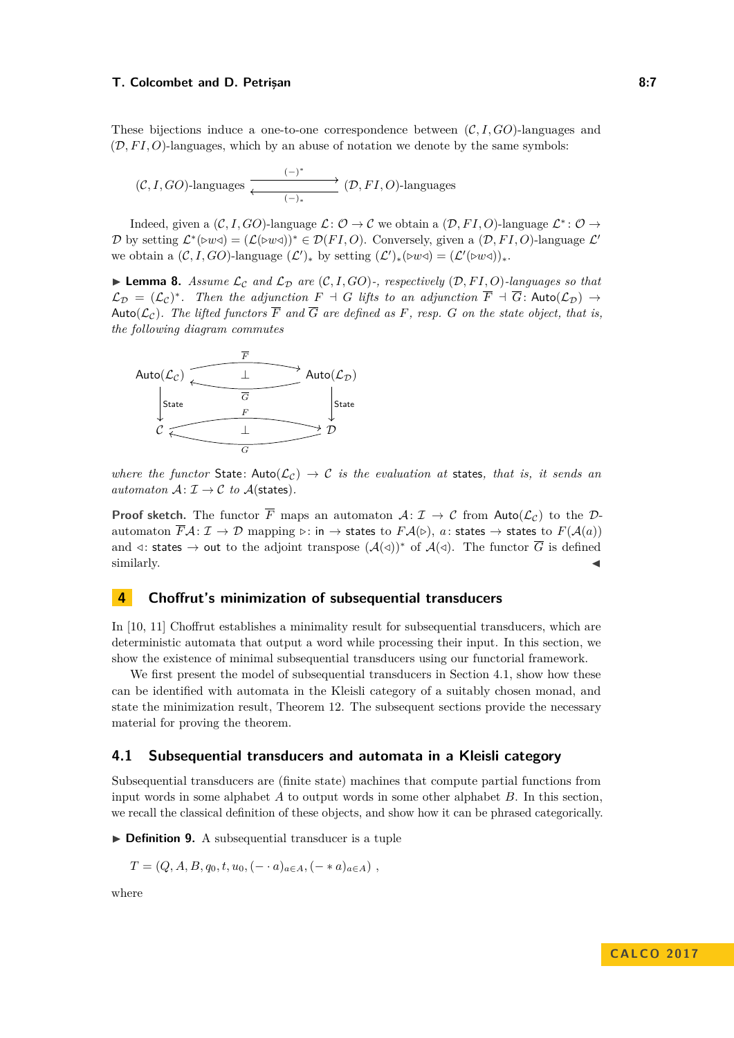#### **T. Colcombet and D. Petrisan 8:7 8:7 8:7 8:7 8:7 8:7**

These bijections induce a one-to-one correspondence between (C*, I, GO*)-languages and  $(D, FI, O)$ -languages, which by an abuse of notation we denote by the same symbols:

$$
(\mathcal{C}, I, GO)
$$
-languages\n
$$
\xrightarrow{(-)^*} (\mathcal{D}, FI, O)
$$
-languages

Indeed, given a  $(C, I, GO)$ -language  $\mathcal{L}: \mathcal{O} \to \mathcal{C}$  we obtain a  $(\mathcal{D}, FI, O)$ -language  $\mathcal{L}^*: \mathcal{O} \to$ D by setting  $\mathcal{L}^*(\triangleright w \triangleleft) = (\mathcal{L}(\triangleright w \triangleleft))^* \in \mathcal{D}(FI, O)$ . Conversely, given a  $(\mathcal{D}, FI, O)$ -language  $\mathcal{L}'$ we obtain a  $(C, I, GO)$ -language  $(\mathcal{L}')_*$  by setting  $(\mathcal{L}')_*(\triangleright w \triangleleft) = (\mathcal{L}'(\triangleright w \triangleleft))_*$ .

<span id="page-6-0"></span> $\blacktriangleright$  **Lemma 8.** Assume  $\mathcal{L}_{\mathcal{C}}$  and  $\mathcal{L}_{\mathcal{D}}$  are  $(\mathcal{C}, I, GO)$ -, respectively  $(\mathcal{D}, FI, O)$ -languages so that  $\mathcal{L}_{\mathcal{D}} = (\mathcal{L}_{\mathcal{C}})^*$ . Then the adjunction  $F \dashv G$  lifts to an adjunction  $\overline{F} \dashv \overline{G}$ : Auto $(\mathcal{L}_{\mathcal{D}}) \to$ Auto( $\mathcal{L}_{\mathcal{C}}$ ). The lifted functors  $\overline{F}$  and  $\overline{G}$  are defined as F, resp. G on the state object, that is, *the following diagram commutes*



*where the functor* State: Auto $(\mathcal{L}_c) \rightarrow \mathcal{C}$  *is the evaluation at* states, *that is, it sends an automaton*  $A: \mathcal{I} \to \mathcal{C}$  *to*  $A$ (states).

**Proof sketch.** The functor  $\overline{F}$  maps an automaton  $\mathcal{A} : \mathcal{I} \to \mathcal{C}$  from Auto( $\mathcal{L}_{\mathcal{C}}$ ) to the  $\mathcal{D}$ automaton  $\overline{F}A: \mathcal{I} \to \mathcal{D}$  mapping  $\rhd$ : in  $\to$  states to  $FA(\triangleright), a$ : states  $\to$  states to  $F(A(a))$ and  $\triangleleft$ : states  $\rightarrow$  out to the adjoint transpose  $(\mathcal{A}(\triangleleft))^*$  of  $\mathcal{A}(\triangleleft)$ . The functor  $\overline{G}$  is defined similarly.  $\triangleleft$ 

## <span id="page-6-1"></span>**4 Choffrut's minimization of subsequential transducers**

In [\[10,](#page-15-12) [11\]](#page-15-13) Choffrut establishes a minimality result for subsequential transducers, which are deterministic automata that output a word while processing their input. In this section, we show the existence of minimal subsequential transducers using our functorial framework.

We first present the model of subsequential transducers in Section [4.1,](#page-6-2) show how these can be identified with automata in the Kleisli category of a suitably chosen monad, and state the minimization result, Theorem [12.](#page-8-0) The subsequent sections provide the necessary material for proving the theorem.

### <span id="page-6-2"></span>**4.1 Subsequential transducers and automata in a Kleisli category**

Subsequential transducers are (finite state) machines that compute partial functions from input words in some alphabet *A* to output words in some other alphabet *B*. In this section, we recall the classical definition of these objects, and show how it can be phrased categorically.

▶ **Definition 9.** A subsequential transducer is a tuple

 $T = (Q, A, B, q_0, t, u_0, (- \cdot a)_{a \in A}, (- * a)_{a \in A})$ 

where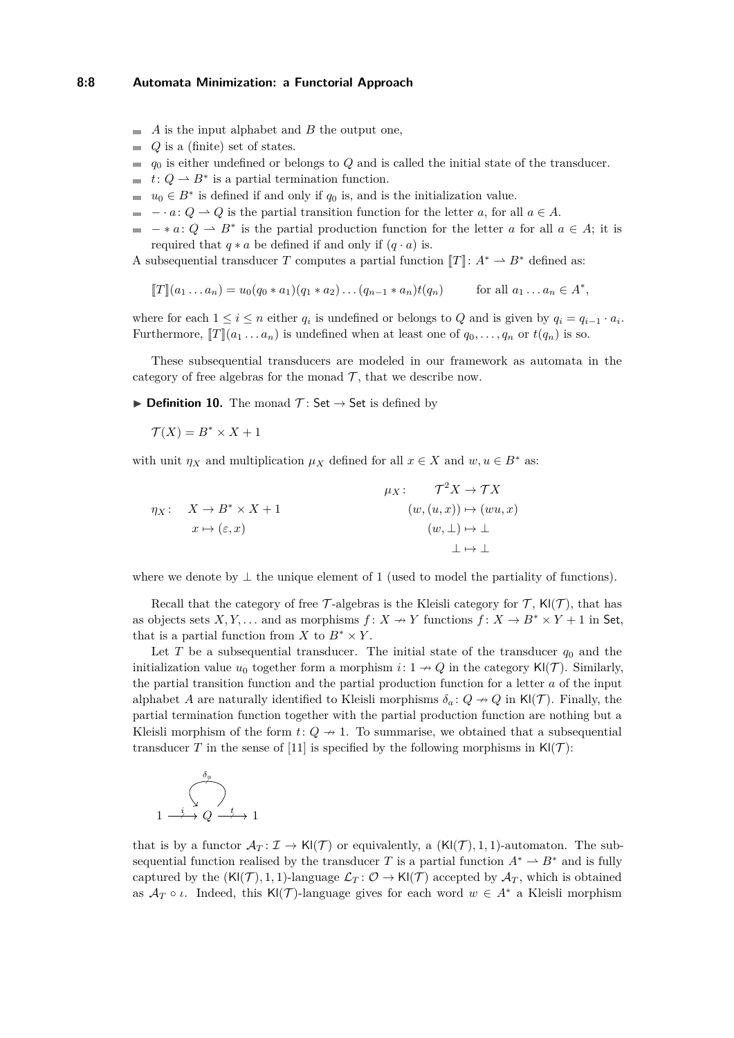#### **8:8 Automata Minimization: a Functorial Approach**

- $\blacksquare$  *A* is the input alphabet and *B* the output one,
- $Q$  is a (finite) set of states.
- $q_0$  is either undefined or belongs to *Q* and is called the initial state of the transducer.
- $t: Q \to B^*$  is a partial termination function.
- $u_0 \in B^*$  is defined if and only if  $q_0$  is, and is the initialization value.
- $\blacksquare$  *a*:  $Q \rightharpoonup Q$  is the partial transition function for the letter *a*, for all  $a \in A$ .
- $* a: Q \rightharpoonup B^*$  is the partial production function for the letter *a* for all  $a \in A$ ; it is required that  $q * a$  be defined if and only if  $(q \cdot a)$  is.

A subsequential transducer *T* computes a partial function  $T$ :  $A^* \rightharpoonup B^*$  defined as:

$$
[[T]](a_1 \ldots a_n) = u_0(q_0 * a_1)(q_1 * a_2) \ldots (q_{n-1} * a_n)t(q_n) \quad \text{for all } a_1 \ldots a_n \in A^*,
$$

where for each  $1 \leq i \leq n$  either  $q_i$  is undefined or belongs to  $Q$  and is given by  $q_i = q_{i-1} \cdot a_i$ . Furthermore,  $[T](a_1 \ldots a_n)$  is undefined when at least one of  $q_0, \ldots, q_n$  or  $t(q_n)$  is so.

These subsequential transducers are modeled in our framework as automata in the category of free algebras for the monad  $\mathcal T$ , that we describe now.

 $\triangleright$  **Definition 10.** The monad  $\mathcal{T}$ : Set  $\rightarrow$  Set is defined by

 $\mathcal{T}(X) = B^* \times X + 1$ 

with unit  $\eta_X$  and multiplication  $\mu_X$  defined for all  $x \in X$  and  $w, u \in B^*$  as:

$$
\eta_X: \quad X \to B^* \times X + 1
$$
\n
$$
x \mapsto (\varepsilon, x)
$$
\n
$$
\mu_X: \quad \mathcal{T}^2 X \to \mathcal{T} X
$$
\n
$$
(w, (u, x)) \mapsto (wu, x)
$$
\n
$$
(w, \perp) \mapsto \perp
$$
\n
$$
\perp \mapsto \perp
$$

where we denote by  $\perp$  the unique element of 1 (used to model the partiality of functions).

Recall that the category of free T-algebras is the Kleisli category for T,  $\mathsf{Kl}(\mathcal{T})$ , that has as objects sets *X*, *Y*,... and as morphisms  $f: X \to Y$  functions  $f: X \to B^* \times Y + 1$  in Set, that is a partial function from *X* to  $B^* \times Y$ .

Let *T* be a subsequential transducer. The initial state of the transducer  $q_0$  and the initialization value  $u_0$  together form a morphism  $i: 1 \rightarrow Q$  in the category  $\mathsf{Kl}(\mathcal{T})$ . Similarly, the partial transition function and the partial production function for a letter *a* of the input alphabet *A* are naturally identified to Kleisli morphisms  $\delta_a: Q \to Q$  in Kl(T). Finally, the partial termination function together with the partial production function are nothing but a Kleisli morphism of the form  $t: Q \rightarrow 1$ . To summarise, we obtained that a subsequential transducer *T* in the sense of [\[11\]](#page-15-13) is specified by the following morphisms in  $\mathsf{Kl}(\mathcal{T})$ :

$$
\begin{array}{c}\n \delta_a \\
 \searrow \\
 1 \stackrel{i}{\longrightarrow} Q \stackrel{t}{\longrightarrow} 1\n\end{array}
$$

that is by a functor  $\mathcal{A}_T: \mathcal{I} \to \mathsf{K}(\mathcal{T})$  or equivalently, a  $(\mathsf{K}(\mathcal{T}), 1, 1)$ -automaton. The subsequential function realised by the transducer *T* is a partial function  $A^* \to B^*$  and is fully captured by the  $(K(\mathcal{T}), 1, 1)$ -language  $\mathcal{L}_T: \mathcal{O} \to K(\mathcal{T})$  accepted by  $\mathcal{A}_T$ , which is obtained as  $A_T \circ \iota$ . Indeed, this Kl(T)-language gives for each word  $w \in A^*$  a Kleisli morphism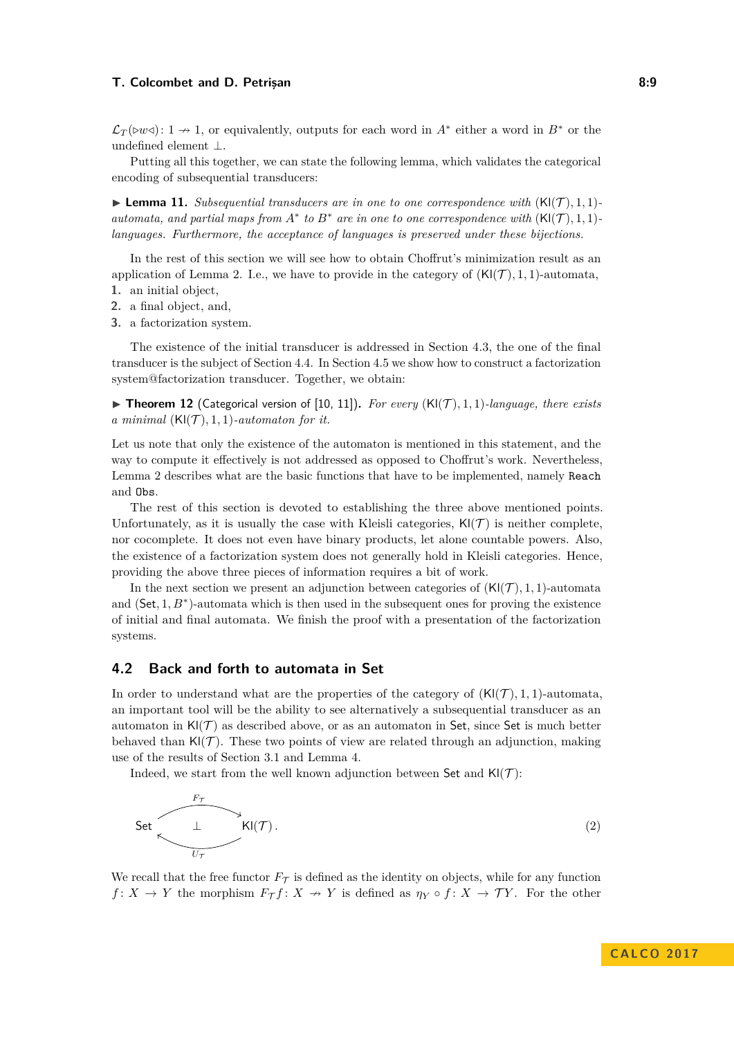#### **T. Colcombet and D. Petrisan 8:9 8:9**

 $\mathcal{L}_T(\triangleright w \triangleleft): 1 \to 1$ , or equivalently, outputs for each word in *A*<sup>∗</sup> either a word in *B*<sup>∗</sup> or the undefined element ⊥.

Putting all this together, we can state the following lemma, which validates the categorical encoding of subsequential transducers:

 $\blacktriangleright$  **Lemma 11.** *Subsequential transducers are in one to one correspondence with*  $(KI(\mathcal{T}), 1, 1)$ *automata, and partial maps from*  $A^*$  *to*  $B^*$  *are in one to one correspondence with*  $(KI(\mathcal{T}), 1, 1)$ *languages. Furthermore, the acceptance of languages is preserved under these bijections.*

In the rest of this section we will see how to obtain Choffrut's minimization result as an application of Lemma [2.](#page-3-1) I.e., we have to provide in the category of  $(KI(\mathcal{T}), 1, 1)$ -automata, **1.** an initial object,

- **2.** a final object, and,
- **3.** a factorization system.

The existence of the initial transducer is addressed in Section [4.3,](#page-9-0) the one of the final transducer is the subject of Section [4.4.](#page-10-0) In Section [4.5](#page-11-0) we show how to construct a factorization system@factorization transducer. Together, we obtain:

<span id="page-8-0"></span> $\triangleright$  **Theorem 12** (Categorical version of [\[10,](#page-15-12) [11\]](#page-15-13)). For every (Kl(T), 1, 1)*-language, there exists a minimal*  $(KI(\mathcal{T}), 1, 1)$ *-automaton for it.* 

Let us note that only the existence of the automaton is mentioned in this statement, and the way to compute it effectively is not addressed as opposed to Choffrut's work. Nevertheless, Lemma [2](#page-3-1) describes what are the basic functions that have to be implemented, namely Reach and Obs.

The rest of this section is devoted to establishing the three above mentioned points. Unfortunately, as it is usually the case with Kleisli categories,  $\mathsf{KI}(\mathcal{T})$  is neither complete, nor cocomplete. It does not even have binary products, let alone countable powers. Also, the existence of a factorization system does not generally hold in Kleisli categories. Hence, providing the above three pieces of information requires a bit of work.

In the next section we present an adjunction between categories of  $(K|({\mathcal{T}}), 1, 1)$ -automata and (Set, 1,  $B^*$ )-automata which is then used in the subsequent ones for proving the existence of initial and final automata. We finish the proof with a presentation of the factorization systems.

# **4.2 Back and forth to automata in Set**

In order to understand what are the properties of the category of  $(KI(\mathcal{T}), 1, 1)$ -automata, an important tool will be the ability to see alternatively a subsequential transducer as an automaton in  $K(\mathcal{T})$  as described above, or as an automaton in Set, since Set is much better behaved than  $\mathsf{Kl}(\mathcal{T})$ . These two points of view are related through an adjunction, making use of the results of Section [3.1](#page-5-1) and Lemma [4.](#page-4-0)

<span id="page-8-1"></span>Indeed, we start from the well known adjunction between Set and  $\mathsf{Kl}(\mathcal{T})$ :



We recall that the free functor  $F_{\mathcal{T}}$  is defined as the identity on objects, while for any function *f* : *X*  $\rightarrow$  *Y* the morphism  $F_{\mathcal{T}}f$  : *X*  $\rightarrow$  *Y* is defined as  $\eta_Y \circ f$  : *X*  $\rightarrow$  *TY*. For the other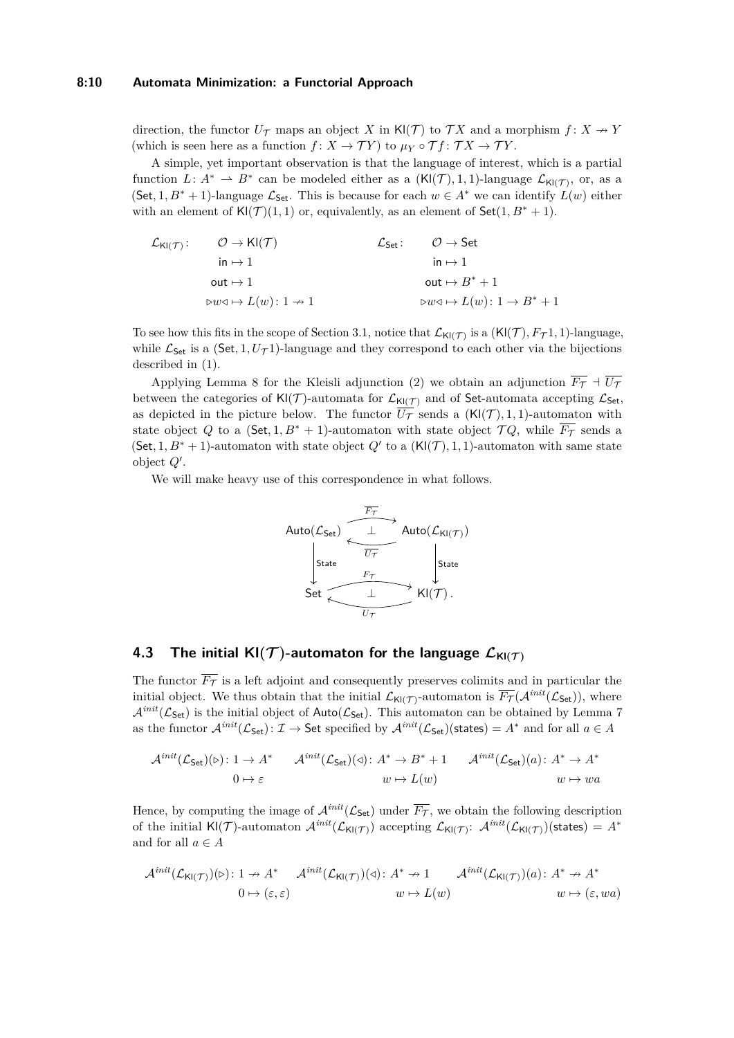#### **8:10 Automata Minimization: a Functorial Approach**

direction, the functor  $U_{\mathcal{T}}$  maps an object *X* in Kl(*T*) to  $\mathcal{T}X$  and a morphism  $f: X \rightarrow Y$ (which is seen here as a function  $f: X \to \mathcal{T}Y$ ) to  $\mu_Y \circ \mathcal{T} f: \mathcal{T} X \to \mathcal{T}Y$ .

A simple, yet important observation is that the language of interest, which is a partial function  $L: A^* \rightharpoonup B^*$  can be modeled either as a  $(KI(\mathcal{T}), 1, 1)$ -language  $\mathcal{L}_{KI(\mathcal{T})}$ , or, as a  $(Set, 1, B^* + 1)$ -language  $\mathcal{L}_{Set}$ . This is because for each  $w \in A^*$  we can identify  $L(w)$  either with an element of  $\text{KI}(\mathcal{T})(1,1)$  or, equivalently, as an element of  $\text{Set}(1,B^*+1)$ .

$$
\mathcal{L}_{\mathsf{KI}(\mathcal{T})}: \quad \mathcal{O} \to \mathsf{KI}(\mathcal{T}) \quad \mathcal{L}_{\mathsf{Set}}: \quad \mathcal{O} \to \mathsf{Set} \\ \quad \mathsf{in} \mapsto 1 \quad \quad \mathsf{out} \mapsto 1 \\ \quad \mathsf{out} \mapsto L(w): 1 \to 1 \quad \quad \mathsf{out} \mapsto B^* + 1 \\ \quad \mathsf{b} \cdot w \triangleleft \mapsto L(w): 1 \to B^* + 1
$$

To see how this fits in the scope of Section [3.1,](#page-5-1) notice that  $\mathcal{L}_{\mathsf{Kl}(\mathcal{T})}$  is a  $(\mathsf{Kl}(\mathcal{T}), F_{\mathcal{T}}1, 1)$ -language, while  $\mathcal{L}_{\mathsf{Set}}$  is a (Set, 1,  $U_{\mathcal{T}}$ 1)-language and they correspond to each other via the bijections described in [\(1\)](#page-5-2).

Applying Lemma [8](#page-6-0) for the Kleisli adjunction [\(2\)](#page-8-1) we obtain an adjunction  $\overline{F_{\mathcal{T}}}$  +  $\overline{U_{\mathcal{T}}}$ between the categories of  $KI(\mathcal{T})$ -automata for  $\mathcal{L}_{KI(\mathcal{T})}$  and of Set-automata accepting  $\mathcal{L}_{Set}$ , as depicted in the picture below. The functor  $\overline{U_{\mathcal{T}}}$  sends a  $(KI(\mathcal{T}), 1, 1)$ -automaton with state object *Q* to a (Set, 1,  $B^*$  + 1)-automaton with state object  $\mathcal{T}Q$ , while  $\overline{F_{\mathcal{T}}}$  sends a (Set, 1,  $B^* + 1$ )-automaton with state object  $Q'$  to a  $(KI(\mathcal{T}), 1, 1)$ -automaton with same state object  $Q'$ .

We will make heavy use of this correspondence in what follows.



# <span id="page-9-0"></span>**4.3** The initial  $\mathsf{KI}(\mathcal{T})$ -automaton for the language  $\mathcal{L}_{\mathsf{KI}(\mathcal{T})}$

The functor  $\overline{F_{\mathcal{T}}}$  is a left adjoint and consequently preserves colimits and in particular the initial object. We thus obtain that the initial  $\mathcal{L}_{\mathsf{Kl}(\mathcal{T})}$ -automaton is  $\overline{F_{\mathcal{T}}}(\mathcal{A}^{init}(\mathcal{L}_{\mathsf{Set}}))$ , where  $A^{init}(\mathcal{L}_{\mathsf{Set}})$  is the initial object of  $\mathsf{Auto}(\mathcal{L}_{\mathsf{Set}})$ . This automaton can be obtained by Lemma [7](#page-5-0) as the functor  $\mathcal{A}^{init}(\mathcal{L}_{\mathsf{Set}}): \mathcal{I} \to \mathsf{Set}$  specified by  $\mathcal{A}^{init}(\mathcal{L}_{\mathsf{Set}})$ (states) =  $A^*$  and for all  $a \in A$ 

$$
\mathcal{A}^{\text{init}}(\mathcal{L}_{\text{Set}})(\triangleright): 1 \to A^* \qquad \mathcal{A}^{\text{init}}(\mathcal{L}_{\text{Set}})(\triangleleft): A^* \to B^* + 1 \qquad \mathcal{A}^{\text{init}}(\mathcal{L}_{\text{Set}})(a): A^* \to A^*
$$
  

$$
0 \mapsto \varepsilon \qquad \qquad w \mapsto L(w) \qquad \qquad w \mapsto wa
$$

Hence, by computing the image of  $\mathcal{A}^{init}(\mathcal{L}_{\mathsf{Set}})$  under  $\overline{F_{\mathcal{T}}},$  we obtain the following description of the initial Kl(*T*)-automaton  $\mathcal{A}^{init}(\mathcal{L}_{\mathsf{Kl}(\mathcal{T})})$  accepting  $\mathcal{L}_{\mathsf{Kl}(\mathcal{T})}$ :  $\mathcal{A}^{init}(\mathcal{L}_{\mathsf{Kl}(\mathcal{T})})($ states) =  $A^*$ and for all  $a \in A$ 

$$
\mathcal{A}^{\text{init}}(\mathcal{L}_{\mathsf{Kl}(\mathcal{T})})(\triangleright): 1 \to A^* \qquad \mathcal{A}^{\text{init}}(\mathcal{L}_{\mathsf{Kl}(\mathcal{T})})(\triangleleft): A^* \to 1 \qquad \mathcal{A}^{\text{init}}(\mathcal{L}_{\mathsf{Kl}(\mathcal{T})})(a): A^* \to A^* \qquad 0 \mapsto (\varepsilon, \varepsilon) \qquad w \mapsto L(w) \qquad w \mapsto (\varepsilon, w a)
$$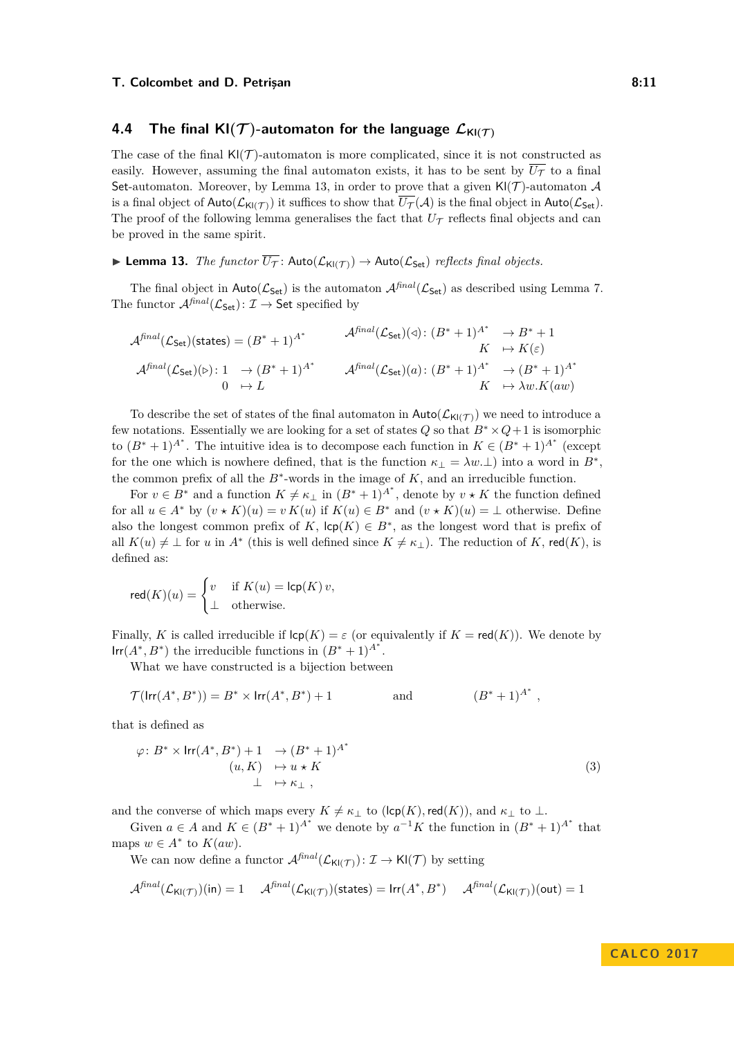## <span id="page-10-0"></span>**4.4** The final  $\mathsf{KI}(\mathcal{T})$ -automaton for the language  $\mathcal{L}_{\mathsf{KI}(\mathcal{T})}$

The case of the final  $\mathsf{Kl}(\mathcal{T})$ -automaton is more complicated, since it is not constructed as easily. However, assuming the final automaton exists, it has to be sent by  $\overline{U_{\mathcal{T}}}$  to a final Set-automaton. Moreover, by Lemma [13,](#page-10-1) in order to prove that a given  $\mathsf{Kl}(\mathcal{T})$ -automaton  $\mathcal A$ is a final object of  $\text{Auto}(\mathcal{L}_{\text{KI}(\mathcal{T})})$  it suffices to show that  $\overline{U_{\mathcal{T}}}(\mathcal{A})$  is the final object in  $\text{Auto}(\mathcal{L}_{\text{Set}})$ . The proof of the following lemma generalises the fact that  $U_{\mathcal{T}}$  reflects final objects and can be proved in the same spirit.

# <span id="page-10-1"></span>**Lemma 13.** *The functor*  $\overline{U_T}$ :  $\text{Auto}(\mathcal{L}_{\text{KI(T)}}) \rightarrow \text{Auto}(\mathcal{L}_{\text{Set}})$  *reflects final objects.*

The final object in  $\text{Auto}(\mathcal{L}_{\text{Set}})$  is the automaton  $\mathcal{A}^{final}(\mathcal{L}_{\text{Set}})$  as described using Lemma [7.](#page-5-0) The functor  $\mathcal{A}^{\text{final}}(\mathcal{L}_{\mathsf{Set}}): \mathcal{I} \to \mathsf{Set}$  specified by

$$
\mathcal{A}^{\text{final}}(\mathcal{L}_{\text{Set}})(\text{states}) = (B^* + 1)^{A^*} \qquad \mathcal{A}^{\text{final}}(\mathcal{L}_{\text{Set}})(\triangleleft) : (B^* + 1)^{A^*} \to B^* + 1
$$
  
\n
$$
K \to K(\varepsilon)
$$
  
\n
$$
\mathcal{A}^{\text{final}}(\mathcal{L}_{\text{Set}})(\triangleright) : 1 \to (B^* + 1)^{A^*} \qquad \mathcal{A}^{\text{final}}(\mathcal{L}_{\text{Set}})(a) : (B^* + 1)^{A^*} \to (B^* + 1)^{A^*}
$$
  
\n
$$
0 \to L \qquad K \to \lambda w.K(aw)
$$

To describe the set of states of the final automaton in  $\text{Auto}(\mathcal{L}_{\text{Ki}(\mathcal{T})})$  we need to introduce a few notations. Essentially we are looking for a set of states  $Q$  so that  $B^* \times Q + 1$  is isomorphic to  $(B^* + 1)^{A^*}$ . The intuitive idea is to decompose each function in  $K \in (B^* + 1)^{A^*}$  (except for the one which is nowhere defined, that is the function  $\kappa_{\perp} = \lambda w.\perp$ ) into a word in  $B^*$ , the common prefix of all the  $B^*$ -words in the image of  $K$ , and an irreducible function.

For  $v \in B^*$  and a function  $K \neq \kappa_\perp$  in  $(B^* + 1)^{A^*}$ , denote by  $v \star K$  the function defined for all  $u \in A^*$  by  $(v \star K)(u) = v K(u)$  if  $K(u) \in B^*$  and  $(v \star K)(u) = \perp$  otherwise. Define also the longest common prefix of  $K$ ,  $\mathsf{lcp}(K) \in B^*$ , as the longest word that is prefix of all  $K(u) \neq \perp$  for *u* in  $A^*$  (this is well defined since  $K \neq \kappa_{\perp}$ ). The reduction of *K*, red(*K*), is defined as:

$$
\mathsf{red}(K)(u) = \begin{cases} v & \text{if } K(u) = \mathsf{lcp}(K) \, v, \\ \perp & \text{otherwise.} \end{cases}
$$

Finally, *K* is called irreducible if  $\mathsf{Icp}(K) = \varepsilon$  (or equivalently if  $K = \mathsf{red}(K)$ ). We denote by Irr( $A^*$ ,  $B^*$ ) the irreducible functions in  $(B^* + 1)^{A^*}$ .

What we have constructed is a bijection between

$$
\mathcal{T}(\mathsf{Irr}(A^*,B^*)) = B^* \times \mathsf{Irr}(A^*,B^*) + 1 \quad \text{and} \quad (B^*+1)^{A^*} ,
$$

that is defined as

$$
\varphi: B^* \times \operatorname{Irr}(A^*, B^*) + 1 \rightarrow (B^* + 1)^{A^*}
$$
  
\n
$$
(u, K) \rightarrow u \star K
$$
  
\n
$$
\perp \rightarrow \kappa_{\perp},
$$
  
\n(3)

and the converse of which maps every  $K \neq \kappa_{\perp}$  to (lcp(*K*), red(*K*)), and  $\kappa_{\perp}$  to  $\perp$ .

Given  $a \in A$  and  $K \in (B^* + 1)^{A^*}$  we denote by  $a^{-1}K$  the function in  $(B^* + 1)^{A^*}$  that maps  $w \in A^*$  to  $K(aw)$ .

We can now define a functor  $\mathcal{A}^{\text{final}}(\mathcal{L}_{\mathsf{K}(\mathcal{T})})$ :  $\mathcal{I} \to \mathsf{Kl}(\mathcal{T})$  by setting

$$
\mathcal{A}^{\mathit{final}}(\mathcal{L}_{\mathsf{Kl}(\mathcal{T})})(\mathsf{in}) = 1 \quad \ \mathcal{A}^{\mathit{final}}(\mathcal{L}_{\mathsf{Kl}(\mathcal{T})})(\mathsf{states}) = \mathsf{Irr}(A^*,B^*) \quad \ \mathcal{A}^{\mathit{final}}(\mathcal{L}_{\mathsf{Kl}(\mathcal{T})})(\mathsf{out}) = 1
$$

<span id="page-10-2"></span>**C A L CO 2 0 1 7**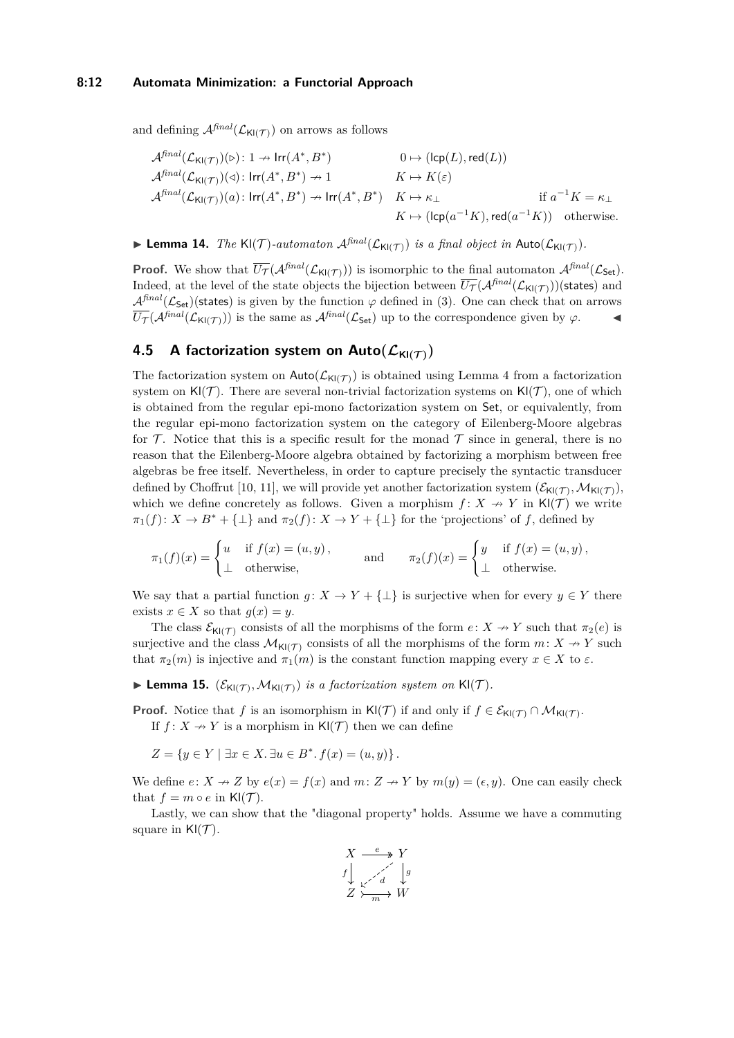#### **8:12 Automata Minimization: a Functorial Approach**

and defining  $\mathcal{A}^{\text{final}}(\mathcal{L}_{\mathsf{Kl}(\mathcal{T})})$  on arrows as follows

$$
\begin{aligned}\n\mathcal{A}^{\text{final}}(\mathcal{L}_{\mathsf{Kl}(\mathcal{T})})(\triangleright):&1\rightarrow\text{Irr}(A^*,B^*)&0\mapsto(\text{lcp}(L),\text{red}(L))\\
\mathcal{A}^{\text{final}}(\mathcal{L}_{\mathsf{Kl}(\mathcal{T})})(\triangleleft):&\text{Irr}(A^*,B^*)\rightarrow 1&K\mapsto K(\varepsilon)\\
\mathcal{A}^{\text{final}}(\mathcal{L}_{\mathsf{Kl}(\mathcal{T})})(a):&\text{Irr}(A^*,B^*)\rightarrow\text{Irr}(A^*,B^*)&K\mapsto \kappa_\perp&\text{if }a^{-1}K=\kappa_\perp\\
K\mapsto(\text{lcp}(a^{-1}K),\text{red}(a^{-1}K))&\text{otherwise.}\n\end{aligned}
$$

**Lemma 14.** *The* Kl(*T*)-automaton  $\mathcal{A}^{final}(\mathcal{L}_{\mathsf{Kl}(T)})$  *is a final object in*  $\mathsf{Auto}(\mathcal{L}_{\mathsf{Kl}(T)})$ *.* 

**Proof.** We show that  $\overline{U}_{\mathcal{T}}(\mathcal{A}^{\text{final}}(\mathcal{L}_{\mathsf{Kl}(\mathcal{T})}))$  is isomorphic to the final automaton  $\mathcal{A}^{\text{final}}(\mathcal{L}_{\mathsf{Set}})$ . Indeed, at the level of the state objects the bijection between  $\overline{U_{\mathcal{T}}}(\mathcal{A}^{final}(\mathcal{L}_{\mathsf{Kl}(\mathcal{T})}))$ (states) and  $A^{final}(\mathcal{L}_{\mathsf{Set}})$ (states) is given by the function  $\varphi$  defined in [\(3\)](#page-10-2). One can check that on arrows  $\overline{U_{\mathcal{T}}}(\mathcal{A}^{\text{final}}(\mathcal{L}_{\mathsf{K}(\mathcal{T})}))$  is the same as  $\mathcal{A}^{\text{final}}(\mathcal{L}_{\mathsf{Set}})$  up to the correspondence given by  $\varphi$ .

# <span id="page-11-0"></span>**4.5** A factorization system on  $\textsf{Auto}(\mathcal{L}_{\textsf{KI}(\mathcal{T})})$

The factorization system on  $\text{Auto}(\mathcal{L}_{\mathsf{K}(\mathcal{T})})$  is obtained using Lemma [4](#page-4-0) from a factorization system on  $\mathsf{KI}(\mathcal{T})$ . There are several non-trivial factorization systems on  $\mathsf{KI}(\mathcal{T})$ , one of which is obtained from the regular epi-mono factorization system on Set, or equivalently, from the regular epi-mono factorization system on the category of Eilenberg-Moore algebras for  $\mathcal T$ . Notice that this is a specific result for the monad  $\mathcal T$  since in general, there is no reason that the Eilenberg-Moore algebra obtained by factorizing a morphism between free algebras be free itself. Nevertheless, in order to capture precisely the syntactic transducer defined by Choffrut [\[10,](#page-15-12) [11\]](#page-15-13), we will provide yet another factorization system  $(\mathcal{E}_{\mathsf{Kl}(\mathcal{T})},\mathcal{M}_{\mathsf{Kl}(\mathcal{T})}),$ which we define concretely as follows. Given a morphism  $f: X \rightarrow Y$  in Kl(T) we write  $\pi_1(f): X \to B^* + {\{\perp\}}$  and  $\pi_2(f): X \to Y + {\{\perp\}}$  for the 'projections' of *f*, defined by

$$
\pi_1(f)(x) = \begin{cases} u & \text{if } f(x) = (u, y), \\ \bot & \text{otherwise,} \end{cases} \quad \text{and} \quad \pi_2(f)(x) = \begin{cases} y & \text{if } f(x) = (u, y), \\ \bot & \text{otherwise.} \end{cases}
$$

We say that a partial function  $g: X \to Y + \{\perp\}$  is surjective when for every  $y \in Y$  there exists  $x \in X$  so that  $g(x) = y$ .

The class  $\mathcal{E}_{\mathsf{K}(\mathcal{T})}$  consists of all the morphisms of the form  $e: X \to Y$  such that  $\pi_2(e)$  is surjective and the class  $\mathcal{M}_{\mathsf{Kl}(\mathcal{T})}$  consists of all the morphisms of the form  $m: X \to Y$  such that  $\pi_2(m)$  is injective and  $\pi_1(m)$  is the constant function mapping every  $x \in X$  to  $\varepsilon$ .

**Lemma 15.**  $(\mathcal{E}_{\text{KI}(\mathcal{T})}, \mathcal{M}_{\text{KI}(\mathcal{T})})$  *is a factorization system on*  $\text{KI}(\mathcal{T})$ *.* 

**Proof.** Notice that *f* is an isomorphism in Kl(*T*) if and only if  $f \in \mathcal{E}_{\mathsf{Kl}(\mathcal{T})} \cap \mathcal{M}_{\mathsf{Kl}(\mathcal{T})}$ . If  $f: X \rightarrow Y$  is a morphism in  $\mathsf{K}(\mathcal{T})$  then we can define

 $Z = \{y \in Y \mid \exists x \in X \ldotp \exists u \in B^* \ldotp f(x) = (u, y)\}.$ 

We define  $e: X \to Z$  by  $e(x) = f(x)$  and  $m: Z \to Y$  by  $m(y) = (e, y)$ . One can easily check that  $f = m \circ e$  in Kl(T).

Lastly, we can show that the "diagonal property" holds. Assume we have a commuting square in  $\mathsf{KI}(\mathcal{T})$ .

$$
X \xrightarrow{e} Y
$$
  
\n
$$
f \downarrow \swarrow \searrow \searrow
$$
  
\n
$$
Z \searrow \searrow \searrow
$$
  
\n
$$
W
$$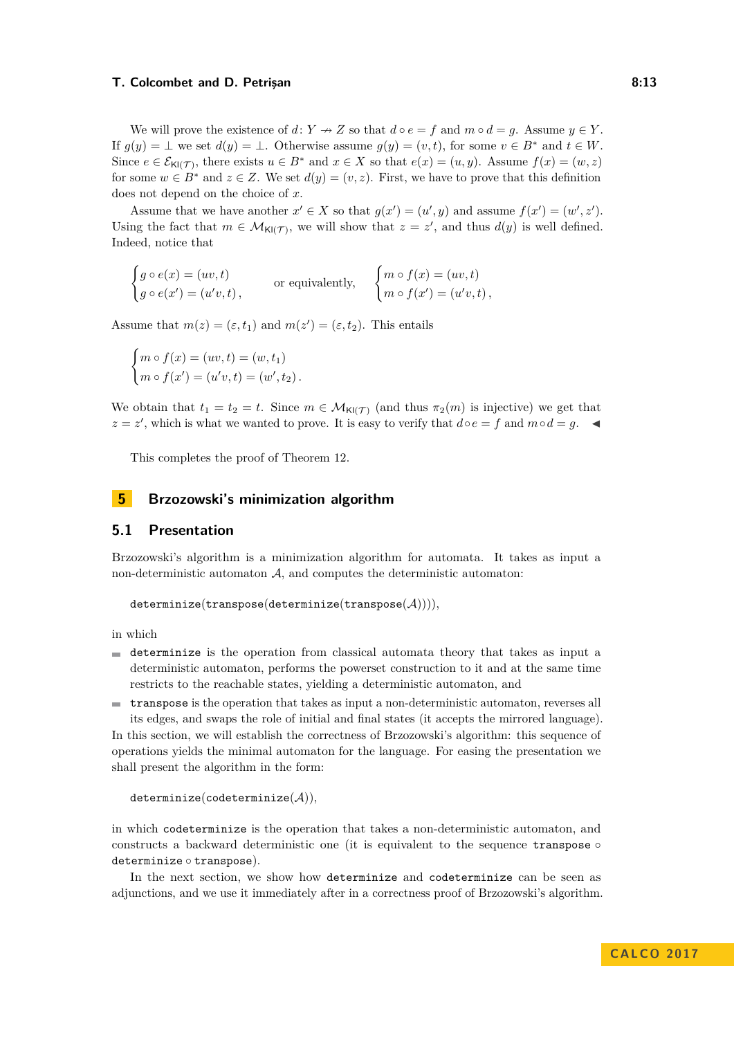#### **T. Colcombet and D. Petrisan 8:13 8:13**

We will prove the existence of  $d: Y \to Z$  so that  $d \circ e = f$  and  $m \circ d = g$ . Assume  $y \in Y$ . If  $g(y) = \bot$  we set  $d(y) = \bot$ . Otherwise assume  $g(y) = (v, t)$ , for some  $v \in B^*$  and  $t \in W$ . Since  $e \in \mathcal{E}_{\mathsf{KI}(\mathcal{T})}$ , there exists  $u \in B^*$  and  $x \in X$  so that  $e(x) = (u, y)$ . Assume  $f(x) = (w, z)$ for some  $w \in B^*$  and  $z \in Z$ . We set  $d(y) = (v, z)$ . First, we have to prove that this definition does not depend on the choice of *x*.

Assume that we have another  $x' \in X$  so that  $g(x') = (u', y)$  and assume  $f(x') = (w', z')$ . Using the fact that  $m \in M_{\mathsf{Kl}(\mathcal{T})}$ , we will show that  $z = z'$ , and thus  $d(y)$  is well defined. Indeed, notice that

 $\int g \circ e(x) = (uv, t)$  $g \circ e(x') = (u'v, t),$ or equivalently,  $\begin{cases} m \circ f(x) = (uv, t) \\ m \circ f(x) = (uv, t) \end{cases}$  $m \circ f(x') = (u'v, t)$ ,

Assume that  $m(z) = (\varepsilon, t_1)$  and  $m(z') = (\varepsilon, t_2)$ . This entails

$$
\begin{cases} m \circ f(x) = (uv, t) = (w, t_1) \\ m \circ f(x') = (u'v, t) = (w', t_2) \end{cases}
$$

We obtain that  $t_1 = t_2 = t$ . Since  $m \in \mathcal{M}_{\mathsf{Kl}(\mathcal{T})}$  (and thus  $\pi_2(m)$  is injective) we get that *z* = *z*<sup>'</sup>, which is what we wanted to prove. It is easy to verify that *d*◦*e* = *f* and *m*◦*d* = *g*.  $\triangleleft$ 

This completes the proof of Theorem [12.](#page-8-0)

# <span id="page-12-0"></span>**5 Brzozowski's minimization algorithm**

### **5.1 Presentation**

Brzozowski's algorithm is a minimization algorithm for automata. It takes as input a non-deterministic automaton  $A$ , and computes the deterministic automaton:

```
determinize(transpose(determinize(transpose(A)))),
```
in which

- $\blacksquare$  determinize is the operation from classical automata theory that takes as input a deterministic automaton, performs the powerset construction to it and at the same time restricts to the reachable states, yielding a deterministic automaton, and
- transpose is the operation that takes as input a non-deterministic automaton, reverses all  $\rightarrow$ its edges, and swaps the role of initial and final states (it accepts the mirrored language).

In this section, we will establish the correctness of Brzozowski's algorithm: this sequence of operations yields the minimal automaton for the language. For easing the presentation we shall present the algorithm in the form:

```
determinize(codeterminize(A)),
```
in which codeterminize is the operation that takes a non-deterministic automaton, and constructs a backward deterministic one (it is equivalent to the sequence transpose  $\circ$ determinize ◦ transpose).

In the next section, we show how determinize and codeterminize can be seen as adjunctions, and we use it immediately after in a correctness proof of Brzozowski's algorithm.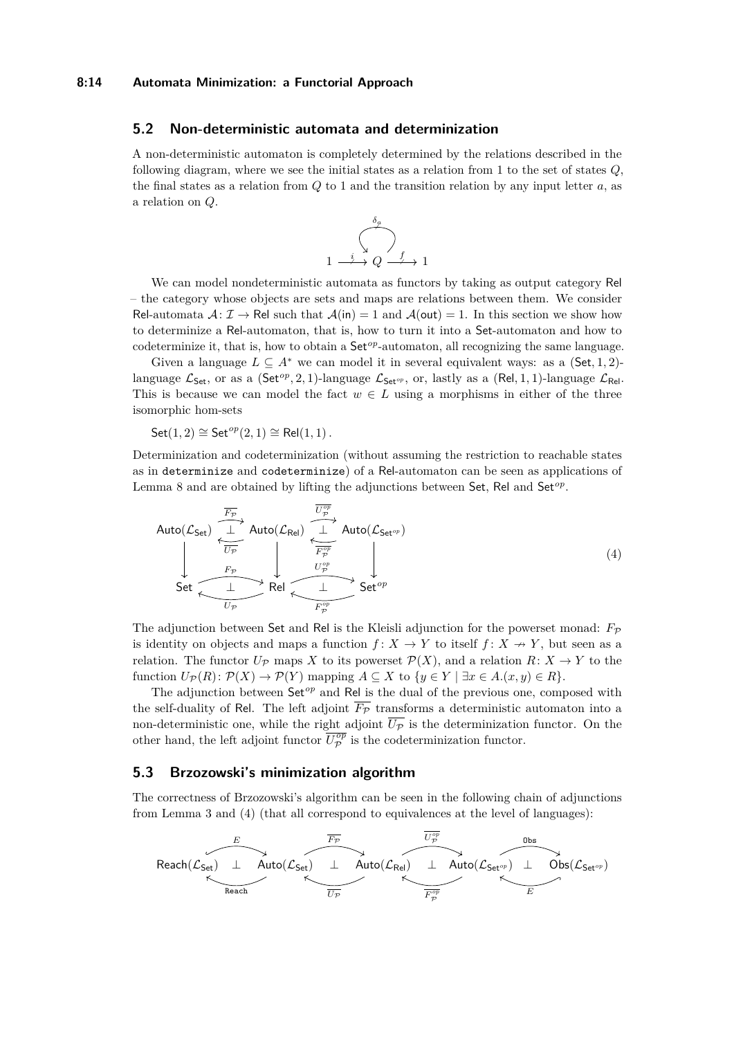### <span id="page-13-0"></span>**5.2 Non-deterministic automata and determinization**

A non-deterministic automaton is completely determined by the relations described in the following diagram, where we see the initial states as a relation from 1 to the set of states *Q*, the final states as a relation from  $Q$  to 1 and the transition relation by any input letter  $a$ , as a relation on *Q*.

<span id="page-13-1"></span>

We can model nondeterministic automata as functors by taking as output category Rel – the category whose objects are sets and maps are relations between them. We consider Rel-automata  $\mathcal{A} : \mathcal{I} \to \mathsf{Rel}$  such that  $\mathcal{A}(\mathsf{in}) = 1$  and  $\mathcal{A}(\mathsf{out}) = 1$ . In this section we show how to determinize a Rel-automaton, that is, how to turn it into a Set-automaton and how to codeterminize it, that is, how to obtain a Set<sup>op</sup>-automaton, all recognizing the same language.

Given a language  $L \subseteq A^*$  we can model it in several equivalent ways: as a (Set, 1, 2)language  $\mathcal{L}_{\mathsf{Set}}$ , or as a ( $\mathsf{Set}^{op}, 2, 1$ )-language  $\mathcal{L}_{\mathsf{Set}^{op}},$  or, lastly as a ( $\mathsf{Rel}, 1, 1$ )-language  $\mathcal{L}_{\mathsf{Rel}}$ . This is because we can model the fact  $w \in L$  using a morphisms in either of the three isomorphic hom-sets

 $Set(1, 2) \cong Set^{op}(2, 1) \cong Rel(1, 1)$ .

Determinization and codeterminization (without assuming the restriction to reachable states as in determinize and codeterminize) of a Rel-automaton can be seen as applications of Lemma [8](#page-6-0) and are obtained by lifting the adjunctions between Set, Rel and Set<sup>op</sup>.

$$
\text{Auto}(\mathcal{L}_{\text{Set}}) \xrightarrow{\overline{F_{\mathcal{P}}}} \text{Auto}(\mathcal{L}_{\text{Rel}}) \xrightarrow{\overline{U_{\mathcal{P}}^{\text{op}}}} \text{Auto}(\mathcal{L}_{\text{Set}^{\text{op}}})
$$
\n
$$
\downarrow \qquad \overline{\overline{U_{\mathcal{P}}}} \qquad \qquad \downarrow \qquad \text{Auto}(\mathcal{L}_{\text{Set}^{\text{op}}})
$$
\n
$$
\text{Set} \xrightarrow{\overline{U_{\mathcal{P}}}} \text{Rel} \xrightarrow{\overline{U_{\mathcal{P}}^{\text{op}}}} \text{Set}^{\mathcal{P}_{\mathcal{P}}^{\text{op}}}
$$
\n
$$
\text{Set}^{\text{op}} \xrightarrow{\overline{U_{\mathcal{P}}^{\text{op}}}} \text{Set}^{\mathcal{P}_{\mathcal{P}}^{\text{op}}}
$$
\n
$$
\text{Set}^{\text{op}}
$$
\n
$$
\text{Set}^{\text{op}}
$$
\n
$$
\text{Set}^{\text{op}}
$$
\n
$$
\text{Set}^{\text{op}}
$$
\n
$$
\text{Set}^{\text{op}}
$$
\n
$$
\text{Set}^{\text{op}}
$$
\n
$$
\text{Set}^{\text{op}}
$$
\n
$$
\text{Set}^{\text{op}}
$$
\n
$$
\text{Set}^{\text{op}}
$$
\n
$$
\text{Set}^{\text{op}}
$$
\n
$$
\text{Set}^{\text{op}}
$$
\n
$$
\text{Set}^{\text{op}}
$$
\n
$$
\text{Set}^{\text{op}}
$$
\n
$$
\text{Set}^{\text{op}}
$$
\n
$$
\text{Set}^{\text{op}}
$$
\n
$$
\text{Set}^{\text{op}}
$$
\n
$$
\text{Set}^{\text{op}}
$$
\n
$$
\text{Set}^{\text{op}}
$$
\n
$$
\text{Set}^{\text{op}}
$$
\n
$$
\text{Set}^{\text{op}}
$$
\n
$$
\text{Set}^{\text{op}}
$$
\n
$$
\text{Set}^{\text{op}}
$$
\n
$$
\text{Set}^{\text{op}}
$$
\n
$$
\text{Set}^
$$

The adjunction between Set and Rel is the Kleisli adjunction for the powerset monad:  $F_P$ is identity on objects and maps a function  $f: X \to Y$  to itself  $f: X \to Y$ , but seen as a relation. The functor  $U_{\mathcal{P}}$  maps *X* to its powerset  $\mathcal{P}(X)$ , and a relation  $R: X \to Y$  to the function  $U_{\mathcal{P}}(R)$ :  $\mathcal{P}(X) \to \mathcal{P}(Y)$  mapping  $A \subseteq X$  to  $\{y \in Y \mid \exists x \in A.(x, y) \in R\}.$ 

The adjunction between Set*op* and Rel is the dual of the previous one, composed with the self-duality of Rel. The left adjoint  $\overline{F_{\mathcal{P}}}$  transforms a deterministic automaton into a non-deterministic one, while the right adjoint  $\overline{U_P}$  is the determinization functor. On the other hand, the left adjoint functor  $\overline{U_{\mathcal{P}}^{op}}$  is the codeterminization functor.

### **5.3 Brzozowski's minimization algorithm**

The correctness of Brzozowski's algorithm can be seen in the following chain of adjunctions from Lemma [3](#page-3-2) and [\(4\)](#page-13-1) (that all correspond to equivalences at the level of languages):

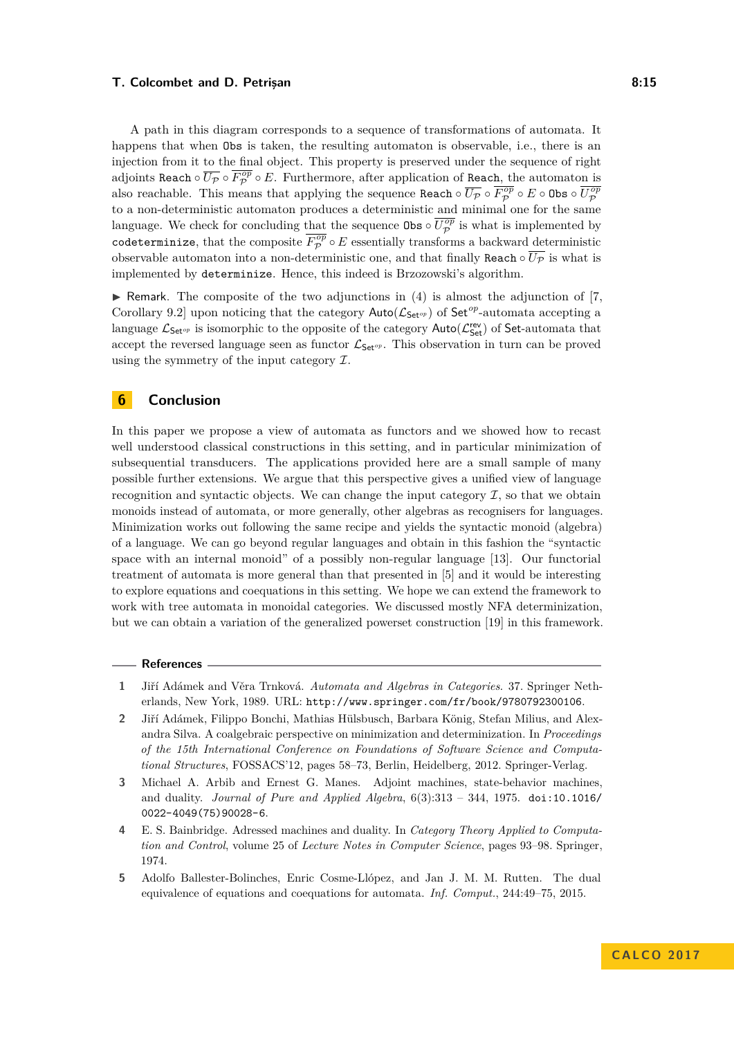#### **T. Colcombet and D. Petrisan 8:15 8:15**

A path in this diagram corresponds to a sequence of transformations of automata. It happens that when Obs is taken, the resulting automaton is observable, i.e., there is an injection from it to the final object. This property is preserved under the sequence of right adjoints Reach  $\circ$   $\overline{U_{\mathcal{P}}} \circ \overline{F_{\mathcal{P}}^{op}} \circ E$ . Furthermore, after application of Reac<u>h, th</u>e automato<u>n is</u> also reachable. This means that applying the sequence  $\texttt{Reach} \circ \overline{U_{\mathcal{P}}} \circ \overline{F_{\mathcal{P}}^{op}} \circ E \circ \texttt{Obs} \circ \overline{U_{\mathcal{P}}^{op}}$ to a non-deterministic automaton produces a deterministic and minimal one for the same language. We check for concluding that the sequence  $\theta$ bs  $\circ \overline{U_{\mathcal{P}}^{op}}$  is what is implemented by codeterminize, that the composite  $\overline{F_{\mathcal{P}}^{op}} \circ E$  essentially transforms a backward deterministic observable automaton into a non-deterministic one, and that finally Reach  $\circ \overline{U_P}$  is what is implemented by determinize. Hence, this indeed is Brzozowski's algorithm.

 $\blacktriangleright$  Remark. The composite of the two adjunctions in [\(4\)](#page-13-1) is almost the adjunction of [\[7,](#page-15-2) Corollary 9.2] upon noticing that the category  $\text{Auto}(\mathcal{L}_{\text{Set}^{op}})$  of  $\text{Set}^{op}$ -automata accepting a language  $\mathcal{L}_{\mathsf{Set}^{op}}$  is isomorphic to the opposite of the category  $\mathsf{Auto}(\mathcal{L}_{\mathsf{Set}}^{\mathsf{rev}})$  of  $\mathsf{Set}\text{-automata}$  that accept the reversed language seen as functor  $\mathcal{L}_{\mathsf{Set}^{op}}$ . This observation in turn can be proved using the symmetry of the input category  $\mathcal{I}$ .

# **6 Conclusion**

In this paper we propose a view of automata as functors and we showed how to recast well understood classical constructions in this setting, and in particular minimization of subsequential transducers. The applications provided here are a small sample of many possible further extensions. We argue that this perspective gives a unified view of language recognition and syntactic objects. We can change the input category  $\mathcal I$ , so that we obtain monoids instead of automata, or more generally, other algebras as recognisers for languages. Minimization works out following the same recipe and yields the syntactic monoid (algebra) of a language. We can go beyond regular languages and obtain in this fashion the "syntactic space with an internal monoid" of a possibly non-regular language [\[13\]](#page-15-14). Our functorial treatment of automata is more general than that presented in [\[5\]](#page-14-4) and it would be interesting to explore equations and coequations in this setting. We hope we can extend the framework to work with tree automata in monoidal categories. We discussed mostly NFA determinization, but we can obtain a variation of the generalized powerset construction [\[19\]](#page-15-7) in this framework.

#### **References**

- <span id="page-14-1"></span>**1** Jiří Adámek and Věra Trnková. *Automata and Algebras in Categories*. 37. Springer Netherlands, New York, 1989. URL: <http://www.springer.com/fr/book/9780792300106>.
- <span id="page-14-2"></span>**2** Jiří Adámek, Filippo Bonchi, Mathias Hülsbusch, Barbara König, Stefan Milius, and Alexandra Silva. A coalgebraic perspective on minimization and determinization. In *Proceedings of the 15th International Conference on Foundations of Software Science and Computational Structures*, FOSSACS'12, pages 58–73, Berlin, Heidelberg, 2012. Springer-Verlag.
- <span id="page-14-0"></span>**3** Michael A. Arbib and Ernest G. Manes. Adjoint machines, state-behavior machines, and duality. *Journal of Pure and Applied Algebra*, 6(3):313 – 344, 1975. [doi:10.1016/](http://dx.doi.org/10.1016/0022-4049(75)90028-6) [0022-4049\(75\)90028-6](http://dx.doi.org/10.1016/0022-4049(75)90028-6).
- <span id="page-14-3"></span>**4** E. S. Bainbridge. Adressed machines and duality. In *Category Theory Applied to Computation and Control*, volume 25 of *Lecture Notes in Computer Science*, pages 93–98. Springer, 1974.
- <span id="page-14-4"></span>**5** Adolfo Ballester-Bolinches, Enric Cosme-Llópez, and Jan J. M. M. Rutten. The dual equivalence of equations and coequations for automata. *Inf. Comput.*, 244:49–75, 2015.